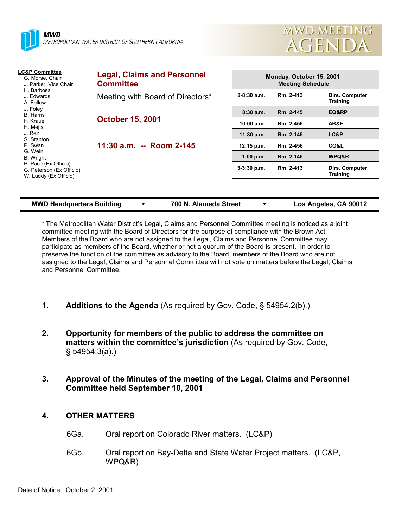



| <b>Legal, Claims and Personnel</b><br><b>Committee</b>                           | Monday, October 15, 2001<br><b>Meeting Schedule</b> |           |                                   |
|----------------------------------------------------------------------------------|-----------------------------------------------------|-----------|-----------------------------------|
| H. Barbosa<br>Meeting with Board of Directors*<br>J. Edwards<br>A. Fellow        | $8-8:30a.m.$                                        | Rm. 2-413 | Dirs. Computer<br><b>Training</b> |
| J. Foley<br><b>B.</b> Harris<br><b>October 15, 2001</b><br>F. Krauel<br>H. Mejia | 8:30a.m.                                            | Rm. 2-145 | EO&RP                             |
|                                                                                  | 10:00 a.m.                                          | Rm. 2-456 | AB&F                              |
|                                                                                  | $11:30$ a.m.                                        | Rm. 2-145 | LC&P                              |
| 11:30 a.m. -- Room 2-145                                                         | 12:15 p.m.                                          | Rm. 2-456 | CO&L                              |
|                                                                                  | 1:00 p.m.                                           | Rm. 2-145 | WPQ&R                             |
|                                                                                  | $3-3:30$ p.m.                                       | Rm. 2-413 | Dirs. Computer<br><b>Training</b> |
|                                                                                  |                                                     |           |                                   |

| 700 N. Alameda Street<br><b>MWD Headquarters Building</b> |
|-----------------------------------------------------------|
|-----------------------------------------------------------|

\* The Metropolitan Water Districtís Legal, Claims and Personnel Committee meeting is noticed as a joint committee meeting with the Board of Directors for the purpose of compliance with the Brown Act. Members of the Board who are not assigned to the Legal, Claims and Personnel Committee may participate as members of the Board, whether or not a quorum of the Board is present. In order to preserve the function of the committee as advisory to the Board, members of the Board who are not assigned to the Legal, Claims and Personnel Committee will not vote on matters before the Legal, Claims and Personnel Committee.

- **1.** Additions to the Agenda (As required by Gov. Code, § 54954.2(b).)
- **2. Opportunity for members of the public to address the committee on matters within the committee's jurisdiction** (As required by Gov. Code, ß 54954.3(a).)
- **3. Approval of the Minutes of the meeting of the Legal, Claims and Personnel Committee held September 10, 2001**

# **4. OTHER MATTERS**

- 6Ga. Oral report on Colorado River matters. (LC&P)
- 6Gb. Oral report on Bay-Delta and State Water Project matters. (LC&P, WPQ&R)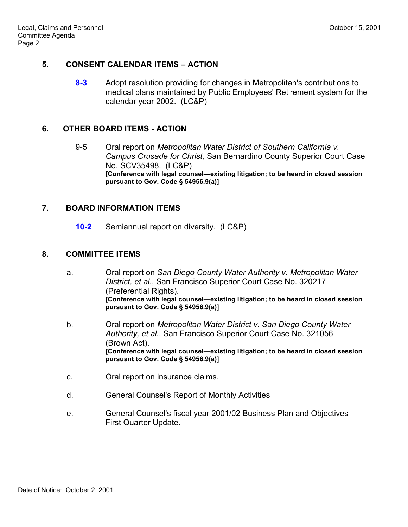## **5. CONSENT CALENDAR ITEMS – ACTION**

**8-3** Adopt resolution providing for changes in Metropolitan's contributions to medical plans maintained by Public Employees' Retirement system for the calendar year 2002. (LC&P)

# **6. OTHER BOARD ITEMS - ACTION**

9-5 Oral report on *Metropolitan Water District of Southern California v. Campus Crusade for Christ,* San Bernardino County Superior Court Case No. SCV35498. (LC&P) **[Conference with legal counsel—existing litigation; to be heard in closed session pursuant to Gov. Code ß 54956.9(a)]**

# **7. BOARD INFORMATION ITEMS**

**10-2** Semiannual report on diversity. (LC&P)

## **8. COMMITTEE ITEMS**

- a. Oral report on *San Diego County Water Authority v. Metropolitan Water District, et al.*, San Francisco Superior Court Case No. 320217 (Preferential Rights). [Conference with legal counsel—existing litigation; to be heard in closed session **pursuant to Gov. Code ß 54956.9(a)]**
- b. Oral report on *Metropolitan Water District v. San Diego County Water Authority, et al.*, San Francisco Superior Court Case No. 321056 (Brown Act). [Conference with legal counsel-existing litigation; to be heard in closed session **pursuant to Gov. Code ß 54956.9(a)]**
- c. Oral report on insurance claims.
- d. General Counsel's Report of Monthly Activities
- e. General Counsel's fiscal year 2001/02 Business Plan and Objectives First Quarter Update.